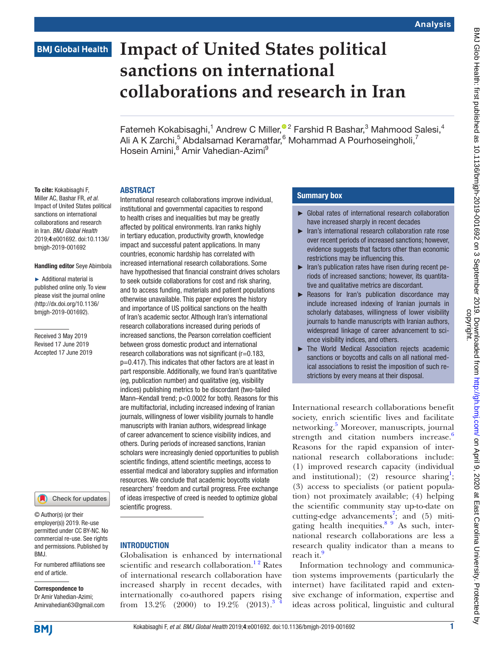# **BMJ Global Health**

# **Impact of United States political sanctions on international collaborations and research in Iran**

Fatemeh Kokabisaghi[,](http://orcid.org/0000-0001-8474-5090)<sup>1</sup> Andrew C Miller,<sup>® 2</sup> Farshid R Bashar,<sup>3</sup> Mahmood Salesi,<sup>4</sup> Ali A K Zarchi,<sup>5</sup> Abdalsamad Keramatfar,<sup>6</sup> Mohammad A Pourhoseingholi,<sup>7</sup> Hosein Amini,<sup>8</sup> Amir Vahedian-Azimi<sup>9</sup>

#### **ABSTRACT**

To cite: Kokabisaghi F, Miller AC, Bashar FR, *et al*. Impact of United States political sanctions on international collaborations and research in Iran. *BMJ Global Health* 2019;4:e001692. doi:10.1136/ bmjgh-2019-001692

#### Handling editor Seye Abimbola

► Additional material is published online only. To view please visit the journal online ([http://dx.doi.org/10.1136/](http://dx.doi.org/10.1136bmjgh-2019-001692) [bmjgh-2019-001692\)](http://dx.doi.org/10.1136bmjgh-2019-001692).

Received 3 May 2019 Revised 17 June 2019 Accepted 17 June 2019



© Author(s) (or their employer(s)) 2019. Re-use permitted under CC BY-NC. No commercial re-use. See rights and permissions. Published by BMJ.

For numbered affiliations see end of article.

# Correspondence to Dr Amir Vahedian-Azimi;

Amirvahedian63@gmail.com

International research collaborations improve individual, institutional and governmental capacities to respond to health crises and inequalities but may be greatly affected by political environments. Iran ranks highly in tertiary education, productivity growth, knowledge impact and successful patent applications. In many countries, economic hardship has correlated with increased international research collaborations. Some have hypothesised that financial constraint drives scholars to seek outside collaborations for cost and risk sharing, and to access funding, materials and patient populations otherwise unavailable. This paper explores the history and importance of US political sanctions on the health of Iran's academic sector. Although Iran's international research collaborations increased during periods of increased sanctions, the Pearson correlation coefficient between gross domestic product and international research collaborations was not significant (r=0.183, p=0.417). This indicates that other factors are at least in part responsible. Additionally, we found Iran's quantitative (eg, publication number) and qualitative (eg, visibility indices) publishing metrics to be discordant (two-tailed Mann–Kendall trend; p<0.0002 for both). Reasons for this are multifactorial, including increased indexing of Iranian journals, willingness of lower visibility journals to handle manuscripts with Iranian authors, widespread linkage of career advancement to science visibility indices, and others. During periods of increased sanctions, Iranian scholars were increasingly denied opportunities to publish scientific findings, attend scientific meetings, access to essential medical and laboratory supplies and information resources. We conclude that academic boycotts violate researchers' freedom and curtail progress. Free exchange of ideas irrespective of creed is needed to optimize global scientific progress.

# **INTRODUCTION**

Globalisation is enhanced by international scientific and research collaboration.<sup>12</sup> Rates of international research collaboration have increased sharply in recent decades, with internationally co-authored papers rising from  $13.2\%$  (2000) to  $19.2\%$  (2013).<sup>3</sup>

#### Summary box

- ► Global rates of international research collaboration have increased sharply in recent decades
- ► Iran's international research collaboration rate rose over recent periods of increased sanctions; however, evidence suggests that factors other than economic restrictions may be influencing this.
- ► Iran's publication rates have risen during recent periods of increased sanctions; however, its quantitative and qualitative metrics are discordant.
- ► Reasons for Iran's publication discordance may include increased indexing of Iranian journals in scholarly databases, willingness of lower visibility journals to handle manuscripts with Iranian authors, widespread linkage of career advancement to science visibility indices, and others.
- ► The World Medical Association rejects academic sanctions or boycotts and calls on all national medical associations to resist the imposition of such restrictions by every means at their disposal.

International research collaborations benefit society, enrich scientific lives and facilitate networking.<sup>5</sup> Moreover, manuscripts, journal strength and citation numbers increase. $6$ Reasons for the rapid expansion of international research collaborations include: (1) improved research capacity (individual and institutional); (2) resource sharing<sup>[1](#page-5-0)</sup>; (3) access to specialists (or patient population) not proximately available; (4) helping the scientific community stay up-to-date on cutting-edge advancements<sup>[7](#page-5-4)</sup>; and  $(5)$  mitigating health inequities.<sup>8 9</sup> As such, international research collaborations are less a research quality indicator than a means to reach it.<sup>[9](#page-5-6)</sup>

Information technology and communication systems improvements (particularly the internet) have facilitated rapid and extensive exchange of information, expertise and ideas across political, linguistic and cultural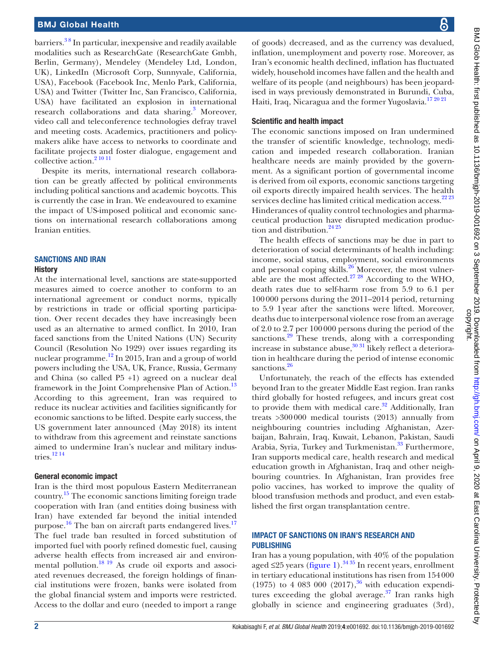barriers[.3 8](#page-5-1) In particular, inexpensive and readily available modalities such as ResearchGate (ResearchGate Gmbh, Berlin, Germany), Mendeley (Mendeley Ltd, London, UK), LinkedIn (Microsoft Corp, Sunnyvale, California, USA), Facebook (Facebook Inc, Menlo Park, California, USA) and Twitter (Twitter Inc, San Francisco, California, USA) have facilitated an explosion in international research collaborations and data sharing.<sup>3</sup> Moreover, video call and teleconference technologies defray travel and meeting costs. Academics, practitioners and policymakers alike have access to networks to coordinate and facilitate projects and foster dialogue, engagement and collective action.<sup>2</sup> <sup>10 11</sup>

Despite its merits, international research collaboration can be greatly affected by political environments including political sanctions and academic boycotts. This is currently the case in Iran. We endeavoured to examine the impact of US-imposed political and economic sanctions on international research collaborations among Iranian entities.

#### SANCTIONS AND IRAN **History**

At the international level, sanctions are state-supported measures aimed to coerce another to conform to an international agreement or conduct norms, typically by restrictions in trade or official sporting participation. Over recent decades they have increasingly been used as an alternative to armed conflict. In 2010, Iran faced sanctions from the United Nations (UN) Security Council (Resolution No 1929) over issues regarding its nuclear programme.<sup>12</sup> In 2015, Iran and a group of world powers including the USA, UK, France, Russia, Germany and China (so called P5 +1) agreed on a nuclear deal framework in the Joint Comprehensive Plan of Action.<sup>13</sup> According to this agreement, Iran was required to reduce its nuclear activities and facilities significantly for economic sanctions to be lifted. Despite early success, the US government later announced (May 2018) its intent to withdraw from this agreement and reinstate sanctions aimed to undermine Iran's nuclear and military industries. $1214$ 

#### General economic impact

Iran is the third most populous Eastern Mediterranean country.[15](#page-5-10) The economic sanctions limiting foreign trade cooperation with Iran (and entities doing business with Iran) have extended far beyond the initial intended purpose.<sup>[16](#page-6-0)</sup> The ban on aircraft parts endangered lives.<sup>17</sup> The fuel trade ban resulted in forced substitution of imported fuel with poorly refined domestic fuel, causing adverse health effects from increased air and environ-mental pollution.<sup>[18 19](#page-6-2)</sup> As crude oil exports and associated revenues decreased, the foreign holdings of financial institutions were frozen, banks were isolated from the global financial system and imports were restricted. Access to the dollar and euro (needed to import a range

of goods) decreased, and as the currency was devalued, inflation, unemployment and poverty rose. Moreover, as Iran's economic health declined, inflation has fluctuated widely, household incomes have fallen and the health and welfare of its people (and neighbours) has been jeopardised in ways previously demonstrated in Burundi, Cuba, Haiti, Iraq, Nicaragua and the former Yugoslavia.<sup>[17 20 21](#page-6-1)</sup>

#### Scientific and health impact

The economic sanctions imposed on Iran undermined the transfer of scientific knowledge, technology, medication and impeded research collaboration. Iranian healthcare needs are mainly provided by the government. As a significant portion of governmental income is derived from oil exports, economic sanctions targeting oil exports directly impaired health services. The health services decline has limited critical medication access.<sup>[22 23](#page-6-3)</sup> Hinderances of quality control technologies and pharmaceutical production have disrupted medication produc-tion and distribution.<sup>[24 25](#page-6-4)</sup>

The health effects of sanctions may be due in part to deterioration of social determinants of health including: income, social status, employment, social environments and personal coping skills.<sup>[26](#page-6-5)</sup> Moreover, the most vulnerable are the most affected.<sup>27</sup> <sup>28</sup> According to the WHO, death rates due to self-harm rose from 5.9 to 6.1 per 100000 persons during the 2011–2014 period, returning to 5.9 1year after the sanctions were lifted. Moreover, deaths due to interpersonal violence rose from an average of 2.0 to 2.7 per 100000 persons during the period of the sanctions.<sup>29</sup> These trends, along with a corresponding increase in substance abuse, $\frac{30 \text{ 31}}{11}$  likely reflect a deterioration in healthcare during the period of intense economic sanctions.<sup>[26](#page-6-5)</sup>

Unfortunately, the reach of the effects has extended beyond Iran to the greater Middle East region. Iran ranks third globally for hosted refugees, and incurs great cost to provide them with medical care.<sup>32</sup> Additionally, Iran treats >300000 medical tourists (2013) annually from neighbouring countries including Afghanistan, Azerbaijan, Bahrain, Iraq, Kuwait, Lebanon, Pakistan, Saudi Arabia, Syria, Turkey and Turkmenistan.<sup>33</sup> Furthermore, Iran supports medical care, health research and medical education growth in Afghanistan, Iraq and other neighbouring countries. In Afghanistan, Iran provides free polio vaccines, has worked to improve the quality of blood transfusion methods and product, and even established the first organ transplantation centre.

#### Impact of sanctions on Iran's research and **PUBLISHING**

Iran has a young population, with 40% of the population aged  $\leq$ 25 years ([figure](#page-2-0) 1).<sup>34 35</sup> In recent years, enrollment in tertiary educational institutions has risen from 154000  $(1975)$  to 4 083 000  $(2017),^{36}$  $(2017),^{36}$  $(2017),^{36}$  with education expenditures exceeding the global average. $37$  Iran ranks high globally in science and engineering graduates (3rd),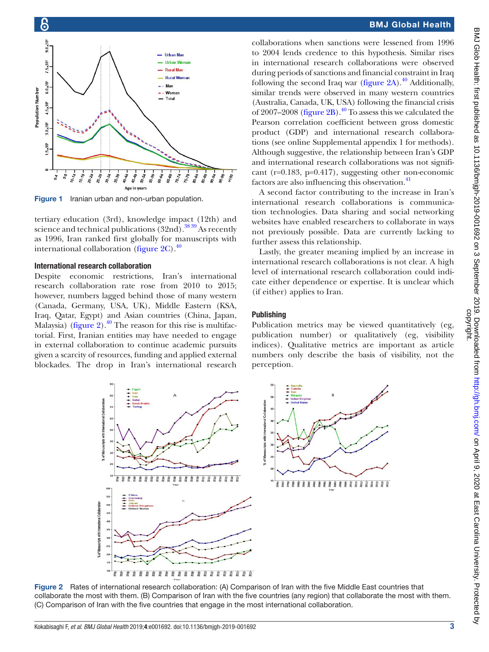# 16



<span id="page-2-0"></span>Figure 1 Iranian urban and non-urban population.

tertiary education (3rd), knowledge impact (12th) and science and technical publications  $(32nd)$ .<sup>3839</sup> As recently as 1996, Iran ranked first globally for manuscripts with international collaboration ([figure](#page-2-1)  $2C$ ).<sup>[40](#page-6-15)</sup>

#### International research collaboration

Despite economic restrictions, Iran's international research collaboration rate rose from 2010 to 2015; however, numbers lagged behind those of many western (Canada, Germany, USA, UK), Middle Eastern (KSA, Iraq, Qatar, Egypt) and Asian countries (China, Japan, Malaysia) [\(figure](#page-2-1) 2). $^{40}$  The reason for this rise is multifactorial. First, Iranian entities may have needed to engage in external collaboration to continue academic pursuits given a scarcity of resources, funding and applied external blockades. The drop in Iran's international research

#### BMJ Global Health

collaborations when sanctions were lessened from 1996 to 2004 lends credence to this hypothesis. Similar rises in international research collaborations were observed during periods of sanctions and financial constraint in Iraq following the second Iraq war ([figure](#page-2-1)  $2A$ ).<sup>[40](#page-6-15)</sup> Additionally, similar trends were observed in many western countries (Australia, Canada, UK, USA) following the financial crisis of 2007–2008 ([figure](#page-2-1) 2B).<sup>40</sup> To assess this we calculated the Pearson correlation coefficient between gross domestic product (GDP) and international research collaborations (see [online Supplemental appendix 1](https://dx.doi.org/10.1136/bmjgh-2019-001692) for methods). Although suggestive, the relationship between Iran's GDP and international research collaborations was not significant (r=0.183, p=0.417), suggesting other non-economic factors are also influencing this observation.<sup>41</sup>

A second factor contributing to the increase in Iran's international research collaborations is communication technologies. Data sharing and social networking websites have enabled researchers to collaborate in ways not previously possible. Data are currently lacking to further assess this relationship.

Lastly, the greater meaning implied by an increase in international research collaborations is not clear. A high level of international research collaboration could indicate either dependence or expertise. It is unclear which (if either) applies to Iran.

#### Publishing

Publication metrics may be viewed quantitatively (eg, publication number) or qualitatively (eg, visibility indices). Qualitative metrics are important as article numbers only describe the basis of visibility, not the perception.



<span id="page-2-1"></span>Figure 2 Rates of international research collaboration: (A) Comparison of Iran with the five Middle East countries that collaborate the most with them. (B) Comparison of Iran with the five countries (any region) that collaborate the most with them. (C) Comparison of Iran with the five countries that engage in the most international collaboration.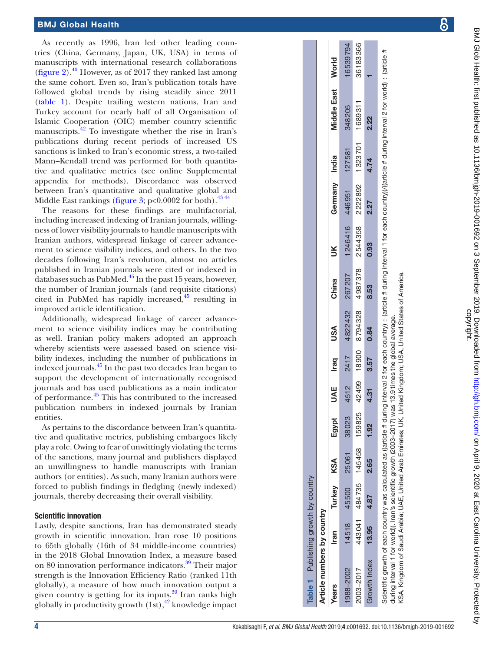#### BMJ Global Health

As recently as 1996, Iran led other leading coun tries (China, Germany, Japan, UK, USA) in terms of manuscripts with international research collaborations ([figure](#page-2-1) 2).<sup>40</sup> However, as of 2017 they ranked last among the same cohort. Even so, Iran's publication totals have followed global trends by rising steadily since 2011 ([table](#page-3-0) 1). Despite trailing western nations, Iran and Turkey account for nearly half of all Organisation of Islamic Cooperation (OIC) member country scientific manuscripts.[42](#page-6-17) To investigate whether the rise in Iran's publications during recent periods of increased US sanctions is linked to Iran's economic stress, a two-tailed Mann–Kendall trend was performed for both quantitative and qualitative metrics (see [online Supplemental](https://dx.doi.org/10.1136/bmjgh-2019-001692)  [appendix](https://dx.doi.org/10.1136/bmjgh-2019-001692) for methods). Discordance was observed between Iran's quantitative and qualitative global and Middle East rankings ([figure](#page-4-0) 3; p<0.0002 for both).<sup>4344</sup>

The reasons for these findings are multifactorial, including increased indexing of Iranian journals, willing ness of lower visibility journals to handle manuscripts with Iranian authors, widespread linkage of career advance ment to science visibility indices, and others. In the two decades following Iran's revolution, almost no articles published in Iranian journals were cited or indexed in databases such as PubMed. $^{45}$  In the past 15 years, however, the number of Iranian journals (and requisite citations) cited in PubMed has rapidly increased, $45$  resulting in improved article identification.

Additionally, widespread linkage of career advance ment to science visibility indices may be contributing as well. Iranian policy makers adopted an approach whereby scientists were assessed based on science visi bility indexes, including the number of publications in indexed journals.[45](#page-6-19) In the past two decades Iran began to support the development of internationally recognised journals and has used publications as a main indicator of performance.<sup>45</sup> This has contributed to the increased publication numbers in indexed journals by Iranian entities.

As pertains to the discordance between Iran's quantitative and qualitative metrics, publishing embargoes likely play a role. Owing to fear of unwittingly violating the terms of the sanctions, many journal and publishers displayed an unwillingness to handle manuscripts with Iranian authors (or entities). As such, many Iranian authors were forced to publish findings in fledgling (newly indexed) journals, thereby decreasing their overall visibility.

#### Scientific innovation

<span id="page-3-0"></span>Lastly, despite sanctions, Iran has demonstrated steady growth in scientific innovation. Iran rose 10 positions to 65th globally (16th of 34 middle-income countries) in the 2018 Global Innovation Index, a measure based on 80 innovation performance indicators.<sup>39</sup> Their major strength is the Innovation Efficiency Ratio (ranked 11th globally), a measure of how much innovation output a given country is getting for its inputs. $39$  Iran ranks high globally in productivity growth  $(1st)$ ,<sup>42</sup> knowledge impact

| Table 1 Publishing growth by country                                                                                                                                                                         |       |             |                             |       |            |             |                                                              |       |                |               |        |                   |          |
|--------------------------------------------------------------------------------------------------------------------------------------------------------------------------------------------------------------|-------|-------------|-----------------------------|-------|------------|-------------|--------------------------------------------------------------|-------|----------------|---------------|--------|-------------------|----------|
| Article numbers by country                                                                                                                                                                                   |       |             |                             |       |            |             |                                                              |       |                |               |        |                   |          |
| Years                                                                                                                                                                                                        | Iran  |             | Turkey KSA                  | Egypt | <b>UAE</b> | Iraq<br>USA |                                                              | China | š              | Germany India |        | Middle East World |          |
| 1988-2002                                                                                                                                                                                                    |       | 14518 45500 | 25061                       | 38023 |            |             | 4512 2417 4822432 267207                                     |       | 1246416 446951 |               | 127581 | 348205            | 16539794 |
| 2003-2017                                                                                                                                                                                                    |       |             | 443041 484735 145458 159825 |       |            |             | 102021 102021 2032328 2044358 202238 202239 10203 10204 2022 |       |                |               |        |                   | 36183366 |
| Growth Index                                                                                                                                                                                                 | 13.95 | $-4.87$     | 2.65                        | 1.92  | 4.31 3.57  |             | 0.84                                                         | 8.53  | 0.93           | 2.27          | 4.74   | 2.22              |          |
| Scientific growth of each country was calculated as ((article # during interval 2 for each country) = (article # during interval 1 for each country)))/((article # during interval 2 for world) = (article # |       |             |                             |       |            |             |                                                              |       |                |               |        |                   |          |

during interval 1 for world)). Iran's scientific growth (2003-2017) was 13.9 times the global average. during interval 1 for world)). Iran's scientific growth (2003–2017) was 13.9 times the global average.

KSA, Kingdom of Saudi Arabia; UAE, United Arab Emirates; UK, United Kingdom; USA, United States of America. KSA, Kingdom of Saudi Arabia; UAE, United Arab Emirates; UK, United Kingdom; USA, United States of America.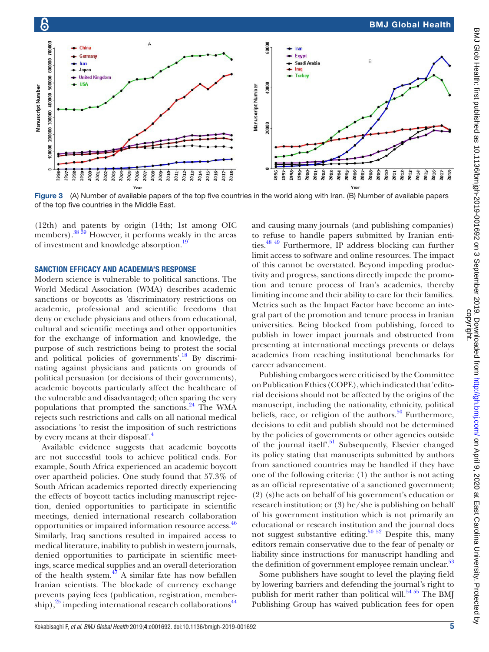

<span id="page-4-0"></span>Figure 3 (A) Number of available papers of the top five countries in the world along with Iran. (B) Number of available papers of the top five countries in the Middle East.

(12th) and patents by origin (14th; 1st among OIC members).<sup>38</sup> 39 However, it performs weakly in the areas of investment and knowledge absorption.<sup>19</sup>

#### Sanction efficacy and academia's response

Modern science is vulnerable to political sanctions. The World Medical Association (WMA) describes academic sanctions or boycotts as 'discriminatory restrictions on academic, professional and scientific freedoms that deny or exclude physicians and others from educational, cultural and scientific meetings and other opportunities for the exchange of information and knowledge, the purpose of such restrictions being to protest the social and political policies of governments'[.18](#page-6-2) By discriminating against physicians and patients on grounds of political persuasion (or decisions of their governments), academic boycotts particularly affect the healthcare of the vulnerable and disadvantaged; often sparing the very populations that prompted the sanctions.<sup>24</sup> The WMA rejects such restrictions and calls on all national medical associations 'to resist the imposition of such restrictions by every means at their disposal'.<sup>[4](#page-5-11)</sup>

Available evidence suggests that academic boycotts are not successful tools to achieve political ends. For example, South Africa experienced an academic boycott over apartheid policies. One study found that 57.3% of South African academics reported directly experiencing the effects of boycott tactics including manuscript rejection, denied opportunities to participate in scientific meetings, denied international research collaboration opportunities or impaired information resource access[.46](#page-6-22) Similarly, Iraq sanctions resulted in impaired access to medical literature, inability to publish in western journals, denied opportunities to participate in scientific meetings, scarce medical supplies and an overall deterioration of the health system. $^{47}$  $^{47}$  $^{47}$  A similar fate has now befallen Iranian scientists. The blockade of currency exchange prevents paying fees (publication, registration, membership), $^{25}$  impeding international research collaborations<sup>44</sup>

and causing many journals (and publishing companies) to refuse to handle papers submitted by Iranian entities[.48 49](#page-6-26) Furthermore, IP address blocking can further limit access to software and online resources. The impact of this cannot be overstated. Beyond impeding productivity and progress, sanctions directly impede the promotion and tenure process of Iran's academics, thereby limiting income and their ability to care for their families. Metrics such as the Impact Factor have become an integral part of the promotion and tenure process in Iranian universities. Being blocked from publishing, forced to publish in lower impact journals and obstructed from presenting at international meetings prevents or delays academics from reaching institutional benchmarks for career advancement.

Publishing embargoes were criticised by the Committee on Publication Ethics (COPE), which indicated that 'editorial decisions should not be affected by the origins of the manuscript, including the nationality, ethnicity, political beliefs, race, or religion of the authors.<sup>50</sup> Furthermore, decisions to edit and publish should not be determined by the policies of governments or other agencies outside of the journal itself.<sup>51</sup> Subsequently, Elsevier changed its policy stating that manuscripts submitted by authors from sanctioned countries may be handled if they have one of the following criteria: (1) the author is not acting as an official representative of a sanctioned government; (2) (s)he acts on behalf of his government's education or research institution; or (3) he/she is publishing on behalf of his government institution which is not primarily an educational or research institution and the journal does not suggest substantive editing.<sup>50 52</sup> Despite this, many editors remain conservative due to the fear of penalty or liability since instructions for manuscript handling and the definition of government employee remain unclear.<sup>53</sup>

Some publishers have sought to level the playing field by lowering barriers and defending the journal's right to publish for merit rather than political will. $54\,55$  The BMJ Publishing Group has waived publication fees for open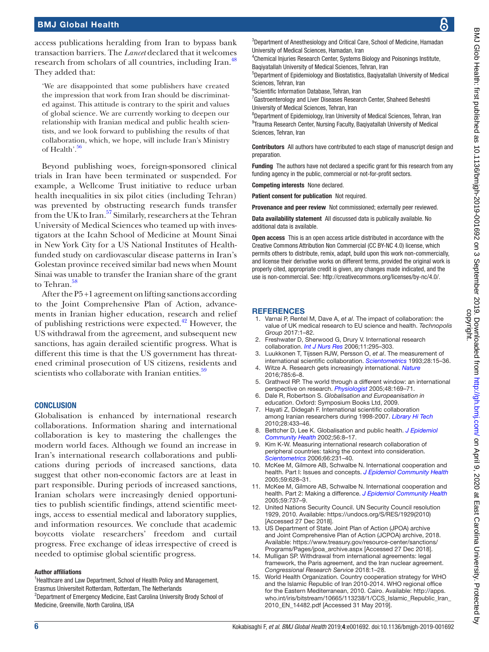access publications heralding from Iran to bypass bank transaction barriers. The *Lancet* declared that it welcomes research from scholars of all countries, including Iran.<sup>[48](#page-6-26)</sup> They added that:

'We are disappointed that some publishers have created the impression that work from Iran should be discriminated against. This attitude is contrary to the spirit and values of global science. We are currently working to deepen our relationship with Iranian medical and public health scientists, and we look forward to publishing the results of that collaboration, which, we hope, will include Iran's Ministry of Health'.<sup>56</sup>

Beyond publishing woes, foreign-sponsored clinical trials in Iran have been terminated or suspended. For example, a Wellcome Trust initiative to reduce urban health inequalities in six pilot cities (including Tehran) was prevented by obstructing research funds transfer from the UK to Iran.<sup>57</sup> Similarly, researchers at the Tehran University of Medical Sciences who teamed up with investigators at the Icahn School of Medicine at Mount Sinai in New York City for a US National Institutes of Healthfunded study on cardiovascular disease patterns in Iran's Golestan province received similar bad news when Mount Sinai was unable to transfer the Iranian share of the grant to Tehran.<sup>[58](#page-6-33)</sup>

After the P5 +1 agreement on lifting sanctions according to the Joint Comprehensive Plan of Action, advancements in Iranian higher education, research and relief of publishing restrictions were expected. $42$  However, the US withdrawal from the agreement, and subsequent new sanctions, has again derailed scientific progress. What is different this time is that the US government has threatened criminal prosecution of US citizens, residents and scientists who collaborate with Iranian entities. $59$ 

#### **CONCLUSION**

Globalisation is enhanced by international research collaborations. Information sharing and international collaboration is key to mastering the challenges the modern world faces. Although we found an increase in Iran's international research collaborations and publications during periods of increased sanctions, data suggest that other non-economic factors are at least in part responsible. During periods of increased sanctions, Iranian scholars were increasingly denied opportunities to publish scientific findings, attend scientific meetings, access to essential medical and laboratory supplies, and information resources. We conclude that academic boycotts violate researchers' freedom and curtail progress. Free exchange of ideas irrespective of creed is needed to optimise global scientific progress.

#### Author affiliations

<sup>1</sup> Healthcare and Law Department, School of Health Policy and Management, Erasmus Universiteit Rotterdam, Rotterdam, The Netherlands <sup>2</sup>Department of Emergency Medicine, East Carolina University Brody School of Medicine, Greenville, North Carolina, USA

<sup>3</sup>Department of Anesthesiology and Critical Care, School of Medicine, Hamadan University of Medical Sciences, Hamadan, Iran

4 Chemical Injuries Research Center, Systems Biology and Poisonings Institute,

Baqiyatallah University of Medical Sciences, Tehran, Iran

5 Department of Epidemiology and Biostatistics, Baqiyatallah University of Medical Sciences, Tehran, Iran

6 Scientific Information Database, Tehran, Iran

<sup>7</sup> Gastroenterology and Liver Diseases Research Center, Shaheed Beheshti University of Medical Sciences, Tehran, Iran

<sup>8</sup>Department of Epidemiology, Iran University of Medical Sciences, Tehran, Iran <sup>9</sup>Trauma Research Center, Nursing Faculty, Baqiyatallah University of Medical Sciences, Tehran, Iran

Contributors All authors have contributed to each stage of manuscript design and preparation.

Funding The authors have not declared a specific grant for this research from any funding agency in the public, commercial or not-for-profit sectors.

Competing interests None declared.

Patient consent for publication Not required.

Provenance and peer review Not commissioned; externally peer reviewed.

Data availability statement All discussed data is publically available. No additional data is available.

Open access This is an open access article distributed in accordance with the Creative Commons Attribution Non Commercial (CC BY-NC 4.0) license, which permits others to distribute, remix, adapt, build upon this work non-commercially, and license their derivative works on different terms, provided the original work is properly cited, appropriate credit is given, any changes made indicated, and the use is non-commercial. See: [http://creativecommons.org/licenses/by-nc/4.0/.](http://creativecommons.org/licenses/by-nc/4.0/)

#### **REFERENCES**

- <span id="page-5-0"></span>1. Varnai P, Rentel M, Dave A, *et al*. The impact of collaboration: the value of UK medical research to EU science and health. *Technopolis Group* 2017:1–82.
- <span id="page-5-7"></span>2. Freshwater D, Sherwood G, Drury V. International research collaboration. *[Int J Nurs Res](http://dx.doi.org/10.1177/1744987106066304)* 2006;11:295–303.
- <span id="page-5-1"></span>3. Luukkonen T, Tijssen RJW, Persson O, *et al*. The measurement of international scientific collaboration. *[Scientometrics](http://dx.doi.org/10.1007/BF02016282)* 1993;28:15–36.
- <span id="page-5-11"></span>4. Witze A. Research gets increasingly international. *[Nature](http://dx.doi.org/10.1038/nature.2016.19198)* 2016;785:6–8.
- <span id="page-5-2"></span>5. Grathwol RP. The world through a different window: an international perspective on research. *[Physiologist](http://www.ncbi.nlm.nih.gov/pubmed/16184778)* 2005;48:169–71.
- <span id="page-5-3"></span>6. Dale R, Robertson S. *Globalisation and Europeanisation in education*. Oxford: Symposium Books Ltd, 2009.
- <span id="page-5-4"></span>7. Hayati Z, Didegah F. International scientific collaboration among Iranian researchers during 1998‐2007. *[Library Hi Tech](http://dx.doi.org/10.1108/07378831011076675)* 2010;28:433–46.
- <span id="page-5-5"></span>8. Bettcher D, Lee K. Globalisation and public health. *[J Epidemiol](http://dx.doi.org/10.1136/jech.56.1.8)  [Community Health](http://dx.doi.org/10.1136/jech.56.1.8)* 2002;56:8–17.
- <span id="page-5-6"></span>9. Kim K-W. Measuring international research collaboration of peripheral countries: taking the context into consideration. *[Scientometrics](http://dx.doi.org/10.1007/s11192-006-0017-0)* 2006;66:231–40.
- 10. McKee M, Gilmore AB, Schwalbe N. International cooperation and health. Part I: Issues and concepts. *[J Epidemiol Community Health](http://dx.doi.org/10.1136/jech.2003.013532)* 2005;59:628–31.
- 11. McKee M, Gilmore AB, Schwalbe N. International cooperation and health. Part 2: Making a difference. *[J Epidemiol Community Health](http://dx.doi.org/10.1136/jech.2004.027854)* 2005;59:737–9.
- <span id="page-5-8"></span>12. United Nations Security Council. UN Security Council resolution 1929, 2010. Available: [https://undocs.org/S/RES/1929\(2010\)](https://undocs.org/S/RES/1929(2010))  [Accessed 27 Dec 2018].
- <span id="page-5-9"></span>13. US Department of State. Joint Plan of Action (JPOA) archive and Joint Comprehensive Plan of Action (JCPOA) archive, 2018. Available: [https://www.treasury.gov/resource-center/sanctions/](https://www.treasury.gov/resource-center/sanctions/Programs/Pages/jpoa_archive.aspx) [Programs/Pages/jpoa\\_archive.aspx](https://www.treasury.gov/resource-center/sanctions/Programs/Pages/jpoa_archive.aspx) [Accessed 27 Dec 2018].
- 14. Mulligan SP. Withdrawal from international agreements: legal framework, the Paris agreement, and the Iran nuclear agreement. *Congressional Research Service* 2018:1–28.
- <span id="page-5-10"></span>15. World Health Organization. Country cooperation strategy for WHO and the Islamic Republic of Iran 2010-2014. WHO regional office for the Eastern Mediterranean, 2010. Cairo. Available: [http://apps.](http://apps.who.int/iris/bitstream/10665/113238/1/CCS_Islamic_Republic_Iran_2010_EN_14482.pdf) [who.int/iris/bitstream/10665/113238/1/CCS\\_Islamic\\_Republic\\_Iran\\_](http://apps.who.int/iris/bitstream/10665/113238/1/CCS_Islamic_Republic_Iran_2010_EN_14482.pdf) [2010\\_EN\\_14482.pdf](http://apps.who.int/iris/bitstream/10665/113238/1/CCS_Islamic_Republic_Iran_2010_EN_14482.pdf) [Accessed 31 May 2019].